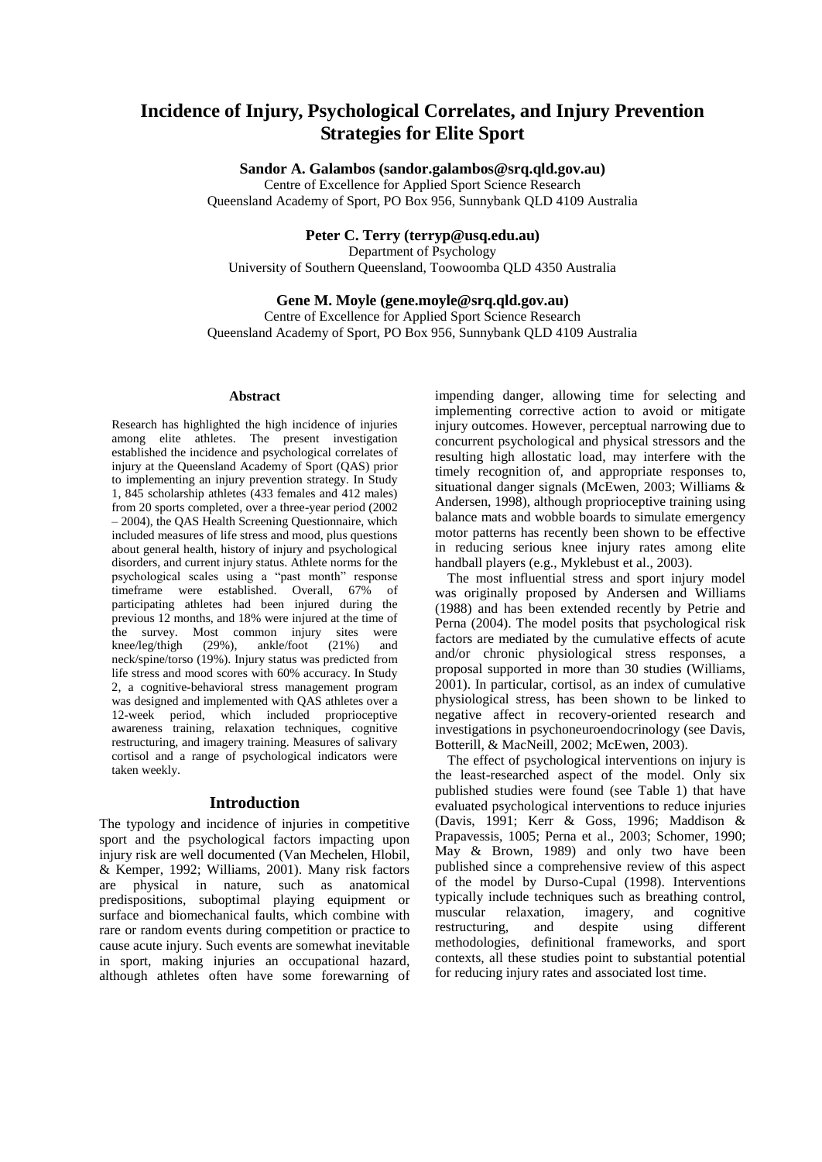# **Incidence of Injury, Psychological Correlates, and Injury Prevention Strategies for Elite Sport**

**Sandor A. Galambos (sandor.galambos@srq.qld.gov.au)**

Centre of Excellence for Applied Sport Science Research

Queensland Academy of Sport, PO Box 956, Sunnybank QLD 4109 Australia

### **Peter C. Terry (terryp@usq.edu.au)**

Department of Psychology University of Southern Queensland, Toowoomba QLD 4350 Australia

# **Gene M. Moyle (gene.moyle@srq.qld.gov.au)**

Centre of Excellence for Applied Sport Science Research Queensland Academy of Sport, PO Box 956, Sunnybank QLD 4109 Australia

#### **Abstract**

Research has highlighted the high incidence of injuries among elite athletes. The present investigation established the incidence and psychological correlates of injury at the Queensland Academy of Sport (QAS) prior to implementing an injury prevention strategy. In Study 1, 845 scholarship athletes (433 females and 412 males) from 20 sports completed, over a three-year period (2002 – 2004), the QAS Health Screening Questionnaire, which included measures of life stress and mood, plus questions about general health, history of injury and psychological disorders, and current injury status. Athlete norms for the psychological scales using a "past month" response timeframe were established. Overall, 67% of participating athletes had been injured during the previous 12 months, and 18% were injured at the time of the survey. Most common injury sites were knee/leg/thigh (29%), ankle/foot (21%) and neck/spine/torso (19%). Injury status was predicted from life stress and mood scores with 60% accuracy. In Study 2, a cognitive-behavioral stress management program was designed and implemented with QAS athletes over a 12-week period, which included proprioceptive awareness training, relaxation techniques, cognitive restructuring, and imagery training. Measures of salivary cortisol and a range of psychological indicators were taken weekly.

### **Introduction**

The typology and incidence of injuries in competitive sport and the psychological factors impacting upon injury risk are well documented (Van Mechelen, Hlobil, & Kemper, 1992; Williams, 2001). Many risk factors are physical in nature, such as anatomical predispositions, suboptimal playing equipment or surface and biomechanical faults, which combine with rare or random events during competition or practice to cause acute injury. Such events are somewhat inevitable in sport, making injuries an occupational hazard, although athletes often have some forewarning of

impending danger, allowing time for selecting and implementing corrective action to avoid or mitigate injury outcomes. However, perceptual narrowing due to concurrent psychological and physical stressors and the resulting high allostatic load, may interfere with the timely recognition of, and appropriate responses to, situational danger signals (McEwen, 2003; Williams & Andersen, 1998), although proprioceptive training using balance mats and wobble boards to simulate emergency motor patterns has recently been shown to be effective in reducing serious knee injury rates among elite handball players (e.g., Myklebust et al., 2003).

The most influential stress and sport injury model was originally proposed by Andersen and Williams (1988) and has been extended recently by Petrie and Perna (2004). The model posits that psychological risk factors are mediated by the cumulative effects of acute and/or chronic physiological stress responses, a proposal supported in more than 30 studies (Williams, 2001). In particular, cortisol, as an index of cumulative physiological stress, has been shown to be linked to negative affect in recovery-oriented research and investigations in psychoneuroendocrinology (see Davis, Botterill, & MacNeill, 2002; McEwen, 2003).

The effect of psychological interventions on injury is the least-researched aspect of the model. Only six published studies were found (see Table 1) that have evaluated psychological interventions to reduce injuries (Davis, 1991; Kerr & Goss, 1996; Maddison & Prapavessis, 1005; Perna et al., 2003; Schomer, 1990; May & Brown, 1989) and only two have been published since a comprehensive review of this aspect of the model by Durso-Cupal (1998). Interventions typically include techniques such as breathing control, muscular relaxation, imagery, and cognitive restructuring, and despite using different methodologies, definitional frameworks, and sport contexts, all these studies point to substantial potential for reducing injury rates and associated lost time.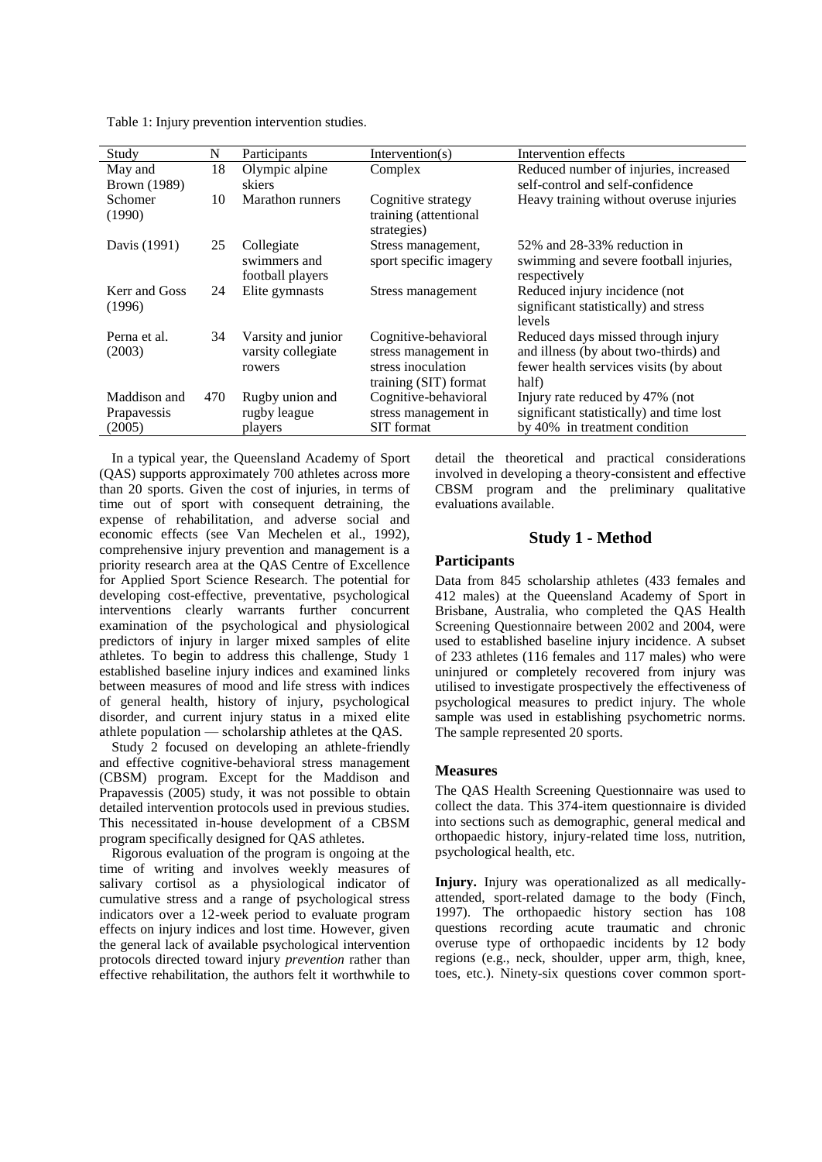| Study                                 | N   | Participants                                       | Intervention( $s$ )                                                                         | Intervention effects                                                                                                           |
|---------------------------------------|-----|----------------------------------------------------|---------------------------------------------------------------------------------------------|--------------------------------------------------------------------------------------------------------------------------------|
| May and                               | 18  | Olympic alpine                                     | Complex                                                                                     | Reduced number of injuries, increased                                                                                          |
| <b>Brown</b> (1989)                   |     | skiers                                             |                                                                                             | self-control and self-confidence                                                                                               |
| Schomer<br>(1990)                     | 10  | Marathon runners                                   | Cognitive strategy<br>training (attentional<br>strategies)                                  | Heavy training without overuse injuries                                                                                        |
| Davis (1991)                          | 25  | Collegiate<br>swimmers and<br>football players     | Stress management,<br>sport specific imagery                                                | 52\% and 28-33\% reduction in<br>swimming and severe football injuries,<br>respectively                                        |
| Kerr and Goss<br>(1996)               | 24  | Elite gymnasts                                     | Stress management                                                                           | Reduced injury incidence (not)<br>significant statistically) and stress<br>levels                                              |
| Perna et al.<br>(2003)                | 34  | Varsity and junior<br>varsity collegiate<br>rowers | Cognitive-behavioral<br>stress management in<br>stress inoculation<br>training (SIT) format | Reduced days missed through injury<br>and illness (by about two-thirds) and<br>fewer health services visits (by about<br>half) |
| Maddison and<br>Prapavessis<br>(2005) | 470 | Rugby union and<br>rugby league<br>players         | Cognitive-behavioral<br>stress management in<br><b>SIT</b> format                           | Injury rate reduced by 47% (not<br>significant statistically) and time lost<br>by 40% in treatment condition                   |

Table 1: Injury prevention intervention studies.

In a typical year, the Queensland Academy of Sport (QAS) supports approximately 700 athletes across more than 20 sports. Given the cost of injuries, in terms of time out of sport with consequent detraining, the expense of rehabilitation, and adverse social and economic effects (see Van Mechelen et al., 1992), comprehensive injury prevention and management is a priority research area at the QAS Centre of Excellence for Applied Sport Science Research. The potential for developing cost-effective, preventative, psychological interventions clearly warrants further concurrent examination of the psychological and physiological predictors of injury in larger mixed samples of elite athletes. To begin to address this challenge, Study 1 established baseline injury indices and examined links between measures of mood and life stress with indices of general health, history of injury, psychological disorder, and current injury status in a mixed elite athlete population — scholarship athletes at the QAS.

Study 2 focused on developing an athlete-friendly and effective cognitive-behavioral stress management (CBSM) program. Except for the Maddison and Prapavessis (2005) study, it was not possible to obtain detailed intervention protocols used in previous studies. This necessitated in-house development of a CBSM program specifically designed for QAS athletes.

Rigorous evaluation of the program is ongoing at the time of writing and involves weekly measures of salivary cortisol as a physiological indicator of cumulative stress and a range of psychological stress indicators over a 12-week period to evaluate program effects on injury indices and lost time. However, given the general lack of available psychological intervention protocols directed toward injury *prevention* rather than effective rehabilitation, the authors felt it worthwhile to detail the theoretical and practical considerations involved in developing a theory-consistent and effective CBSM program and the preliminary qualitative evaluations available.

# **Study 1 - Method**

# **Participants**

Data from 845 scholarship athletes (433 females and 412 males) at the Queensland Academy of Sport in Brisbane, Australia, who completed the QAS Health Screening Questionnaire between 2002 and 2004, were used to established baseline injury incidence. A subset of 233 athletes (116 females and 117 males) who were uninjured or completely recovered from injury was utilised to investigate prospectively the effectiveness of psychological measures to predict injury. The whole sample was used in establishing psychometric norms. The sample represented 20 sports.

# **Measures**

The QAS Health Screening Questionnaire was used to collect the data. This 374-item questionnaire is divided into sections such as demographic, general medical and orthopaedic history, injury-related time loss, nutrition, psychological health, etc.

**Injury.** Injury was operationalized as all medicallyattended, sport-related damage to the body (Finch, 1997). The orthopaedic history section has 108 questions recording acute traumatic and chronic overuse type of orthopaedic incidents by 12 body regions (e.g., neck, shoulder, upper arm, thigh, knee, toes, etc.). Ninety-six questions cover common sport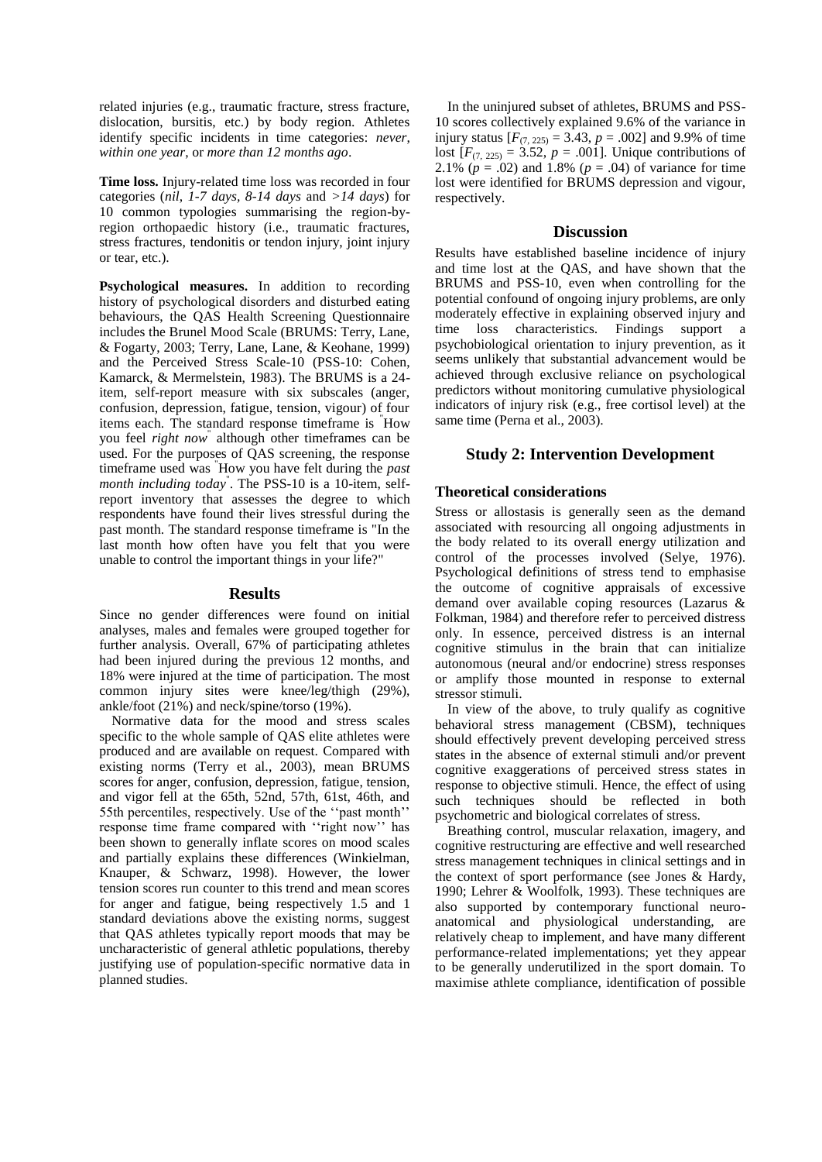related injuries (e.g., traumatic fracture, stress fracture, dislocation, bursitis, etc.) by body region. Athletes identify specific incidents in time categories: *never*, *within one year*, or *more than 12 months ago*.

**Time loss.** Injury-related time loss was recorded in four categories (*nil*, *1-7 days, 8-14 days* and *>14 days*) for 10 common typologies summarising the region-byregion orthopaedic history (i.e., traumatic fractures, stress fractures, tendonitis or tendon injury, joint injury or tear, etc.).

**Psychological measures.** In addition to recording history of psychological disorders and disturbed eating behaviours, the QAS Health Screening Questionnaire includes the Brunel Mood Scale (BRUMS: Terry, Lane, & Fogarty, 2003; Terry, Lane, Lane, & Keohane, 1999) and the Perceived Stress Scale-10 (PSS-10: Cohen, Kamarck, & Mermelstein, 1983). The BRUMS is a 24 item, self-report measure with six subscales (anger, confusion, depression, fatigue, tension, vigour) of four items each. The standard response timeframe is "How you feel *right now*" although other timeframes can be used. For the purposes of QAS screening, the response timeframe used was "How you have felt during the *past month including today*" . The PSS-10 is a 10-item, selfreport inventory that assesses the degree to which respondents have found their lives stressful during the past month. The standard response timeframe is "In the last month how often have you felt that you were unable to control the important things in your life?"

#### **Results**

Since no gender differences were found on initial analyses, males and females were grouped together for further analysis. Overall, 67% of participating athletes had been injured during the previous 12 months, and 18% were injured at the time of participation. The most common injury sites were knee/leg/thigh (29%), ankle/foot (21%) and neck/spine/torso (19%).

Normative data for the mood and stress scales specific to the whole sample of QAS elite athletes were produced and are available on request. Compared with existing norms (Terry et al., 2003), mean BRUMS scores for anger, confusion, depression, fatigue, tension, and vigor fell at the 65th, 52nd, 57th, 61st, 46th, and 55th percentiles, respectively. Use of the "past month" response time frame compared with "right now" has been shown to generally inflate scores on mood scales and partially explains these differences (Winkielman, Knauper, & Schwarz, 1998). However, the lower tension scores run counter to this trend and mean scores for anger and fatigue, being respectively 1.5 and 1 standard deviations above the existing norms, suggest that QAS athletes typically report moods that may be uncharacteristic of general athletic populations, thereby justifying use of population-specific normative data in planned studies.

In the uninjured subset of athletes, BRUMS and PSS-10 scores collectively explained 9.6% of the variance in injury status  $[F_{(7, 225)} = 3.43, p = .002]$  and 9.9% of time lost  $[F_{(7, 225)} = 3.52, p = .001]$ . Unique contributions of 2.1%  $(p = .02)$  and 1.8%  $(p = .04)$  of variance for time lost were identified for BRUMS depression and vigour, respectively.

### **Discussion**

Results have established baseline incidence of injury and time lost at the QAS, and have shown that the BRUMS and PSS-10, even when controlling for the potential confound of ongoing injury problems, are only moderately effective in explaining observed injury and time loss characteristics. Findings support a psychobiological orientation to injury prevention, as it seems unlikely that substantial advancement would be achieved through exclusive reliance on psychological predictors without monitoring cumulative physiological indicators of injury risk (e.g., free cortisol level) at the same time (Perna et al., 2003).

# **Study 2: Intervention Development**

### **Theoretical considerations**

Stress or allostasis is generally seen as the demand associated with resourcing all ongoing adjustments in the body related to its overall energy utilization and control of the processes involved (Selye, 1976). Psychological definitions of stress tend to emphasise the outcome of cognitive appraisals of excessive demand over available coping resources (Lazarus & Folkman, 1984) and therefore refer to perceived distress only. In essence, perceived distress is an internal cognitive stimulus in the brain that can initialize autonomous (neural and/or endocrine) stress responses or amplify those mounted in response to external stressor stimuli.

In view of the above, to truly qualify as cognitive behavioral stress management (CBSM), techniques should effectively prevent developing perceived stress states in the absence of external stimuli and/or prevent cognitive exaggerations of perceived stress states in response to objective stimuli. Hence, the effect of using such techniques should be reflected in both psychometric and biological correlates of stress.

Breathing control, muscular relaxation, imagery, and cognitive restructuring are effective and well researched stress management techniques in clinical settings and in the context of sport performance (see Jones & Hardy, 1990; Lehrer & Woolfolk, 1993). These techniques are also supported by contemporary functional neuroanatomical and physiological understanding, are relatively cheap to implement, and have many different performance-related implementations; yet they appear to be generally underutilized in the sport domain. To maximise athlete compliance, identification of possible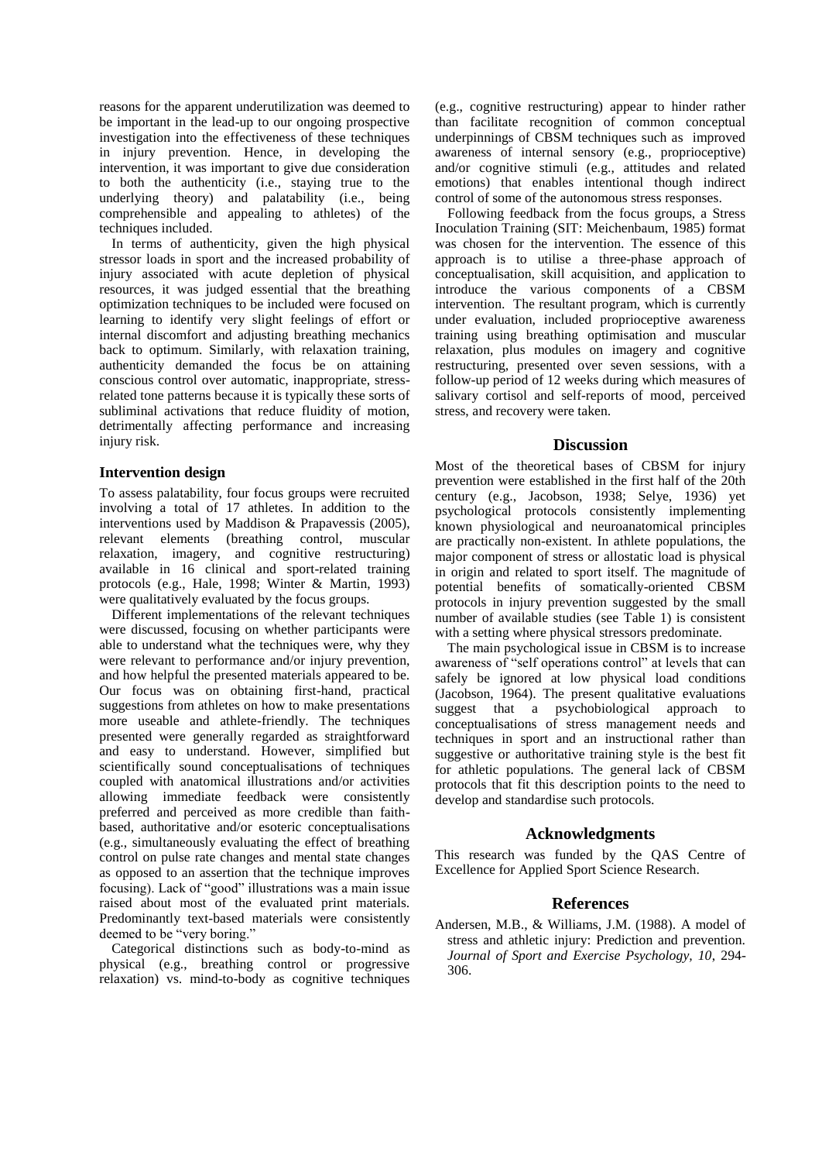reasons for the apparent underutilization was deemed to be important in the lead-up to our ongoing prospective investigation into the effectiveness of these techniques in injury prevention. Hence, in developing the intervention, it was important to give due consideration to both the authenticity (i.e., staying true to the underlying theory) and palatability (i.e., being comprehensible and appealing to athletes) of the techniques included.

In terms of authenticity, given the high physical stressor loads in sport and the increased probability of injury associated with acute depletion of physical resources, it was judged essential that the breathing optimization techniques to be included were focused on learning to identify very slight feelings of effort or internal discomfort and adjusting breathing mechanics back to optimum. Similarly, with relaxation training, authenticity demanded the focus be on attaining conscious control over automatic, inappropriate, stressrelated tone patterns because it is typically these sorts of subliminal activations that reduce fluidity of motion, detrimentally affecting performance and increasing injury risk.

### **Intervention design**

To assess palatability, four focus groups were recruited involving a total of 17 athletes. In addition to the interventions used by Maddison & Prapavessis (2005), relevant elements (breathing control, muscular relaxation, imagery, and cognitive restructuring) available in 16 clinical and sport-related training protocols (e.g., Hale, 1998; Winter & Martin, 1993) were qualitatively evaluated by the focus groups.

Different implementations of the relevant techniques were discussed, focusing on whether participants were able to understand what the techniques were, why they were relevant to performance and/or injury prevention, and how helpful the presented materials appeared to be. Our focus was on obtaining first-hand, practical suggestions from athletes on how to make presentations more useable and athlete-friendly. The techniques presented were generally regarded as straightforward and easy to understand. However, simplified but scientifically sound conceptualisations of techniques coupled with anatomical illustrations and/or activities allowing immediate feedback were consistently preferred and perceived as more credible than faithbased, authoritative and/or esoteric conceptualisations (e.g., simultaneously evaluating the effect of breathing control on pulse rate changes and mental state changes as opposed to an assertion that the technique improves focusing). Lack of "good" illustrations was a main issue raised about most of the evaluated print materials. Predominantly text-based materials were consistently deemed to be "very boring."

Categorical distinctions such as body-to-mind as physical (e.g., breathing control or progressive relaxation) vs. mind-to-body as cognitive techniques

(e.g., cognitive restructuring) appear to hinder rather than facilitate recognition of common conceptual underpinnings of CBSM techniques such as improved awareness of internal sensory (e.g., proprioceptive) and/or cognitive stimuli (e.g., attitudes and related emotions) that enables intentional though indirect control of some of the autonomous stress responses.

Following feedback from the focus groups, a Stress Inoculation Training (SIT: Meichenbaum, 1985) format was chosen for the intervention. The essence of this approach is to utilise a three-phase approach of conceptualisation, skill acquisition, and application to introduce the various components of a CBSM intervention. The resultant program, which is currently under evaluation, included proprioceptive awareness training using breathing optimisation and muscular relaxation, plus modules on imagery and cognitive restructuring, presented over seven sessions, with a follow-up period of 12 weeks during which measures of salivary cortisol and self-reports of mood, perceived stress, and recovery were taken.

### **Discussion**

Most of the theoretical bases of CBSM for injury prevention were established in the first half of the 20th century (e.g., Jacobson, 1938; Selye, 1936) yet psychological protocols consistently implementing known physiological and neuroanatomical principles are practically non-existent. In athlete populations, the major component of stress or allostatic load is physical in origin and related to sport itself. The magnitude of potential benefits of somatically-oriented CBSM protocols in injury prevention suggested by the small number of available studies (see Table 1) is consistent with a setting where physical stressors predominate.

The main psychological issue in CBSM is to increase awareness of "self operations control" at levels that can safely be ignored at low physical load conditions (Jacobson, 1964). The present qualitative evaluations suggest that a psychobiological approach to conceptualisations of stress management needs and techniques in sport and an instructional rather than suggestive or authoritative training style is the best fit for athletic populations. The general lack of CBSM protocols that fit this description points to the need to develop and standardise such protocols.

# **Acknowledgments**

This research was funded by the QAS Centre of Excellence for Applied Sport Science Research.

# **References**

Andersen, M.B., & Williams, J.M. (1988). A model of stress and athletic injury: Prediction and prevention. *Journal of Sport and Exercise Psychology, 10*, 294- 306.